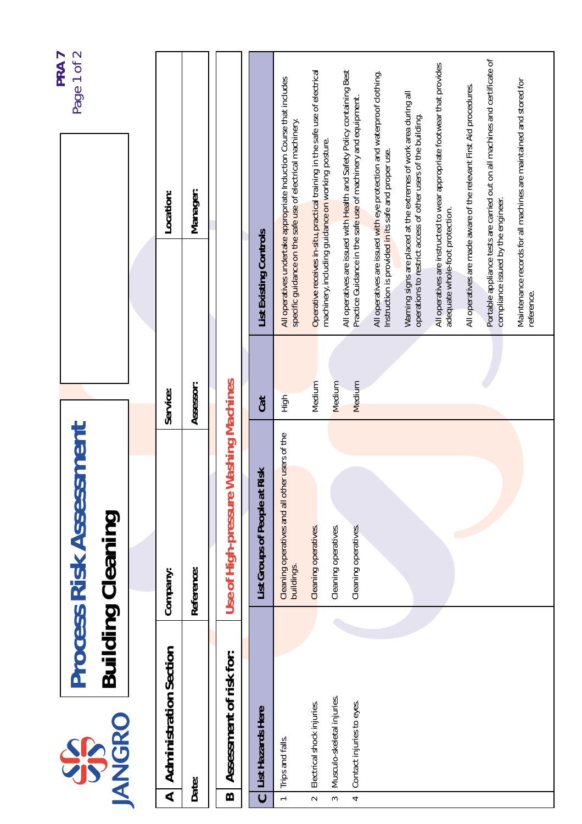|                                      | SPS                                                     | <b>Process Risk Assessment</b>                               |                  |                                                                                                                                          | Page 1 of 2<br><b>PRA7</b> |
|--------------------------------------|---------------------------------------------------------|--------------------------------------------------------------|------------------|------------------------------------------------------------------------------------------------------------------------------------------|----------------------------|
|                                      | <b>JANGRO</b>                                           | <b>Building Cleaning</b>                                     |                  |                                                                                                                                          |                            |
|                                      |                                                         |                                                              |                  |                                                                                                                                          |                            |
| ⋖                                    | <b>Administration Section</b>                           | Company:                                                     | Service:         | Location:                                                                                                                                |                            |
|                                      | Date:                                                   | Reference:                                                   | Assessor:        | Manager:                                                                                                                                 |                            |
| $\boldsymbol{\Omega}$                | Assessment of risk for:                                 | Use of High-pressure Washing Machines                        |                  |                                                                                                                                          |                            |
| $\overline{c}$                       | List Hazards Here                                       | List Groups of People at Risk                                | Cat              | List Existing Controls                                                                                                                   |                            |
| $\leftarrow$                         | Trips and falls.                                        | Cleaning operatives and all other users of the<br>buildings. | $rac{1}{2}$      | All operatives undertake appropriate Induction Course that includes<br>specific guidance on the safe use of electrical machinery.        |                            |
| $\sim$                               | Electrical shock injuries.                              | Cleaning operatives.                                         | Medium           | Operative receives in-situ, practical training in the safe use of electrical<br>machinery, including guidance on working posture.        |                            |
| $\overline{\phantom{a}}$<br>$\infty$ | Musculo-skeletal injuries.<br>Contact injuries to eyes. | Cleaning operatives.<br>Cleaning operatives.                 | Medium<br>Medium | All operatives are issued with Health and Safety Policy containing Best<br>Practice Guidance in the safe use of machinery and equipment. |                            |
|                                      |                                                         |                                                              |                  | All operatives are issued with eye protection and waterproof clothing.<br>Instruction is provided in its safe and proper use.            |                            |
|                                      |                                                         |                                                              |                  | Warning signs are placed at the extremes of work area during all<br>operations to restrict access of other users of the building.        |                            |
|                                      |                                                         |                                                              |                  | All operatives are instructed to wear appropriate footwear that provides<br>adequate whole-foot protection.                              |                            |
|                                      |                                                         |                                                              |                  | All operatives are made aware of the relevant First Aid procedures.                                                                      |                            |
|                                      |                                                         |                                                              |                  | Portable appliance tests are carried out on all machines and certificate of<br>compliance issued by the engineer.                        |                            |
|                                      |                                                         |                                                              |                  | Maintenance records for all machines are maintained and stored for<br>reference.                                                         |                            |
|                                      |                                                         |                                                              |                  |                                                                                                                                          |                            |